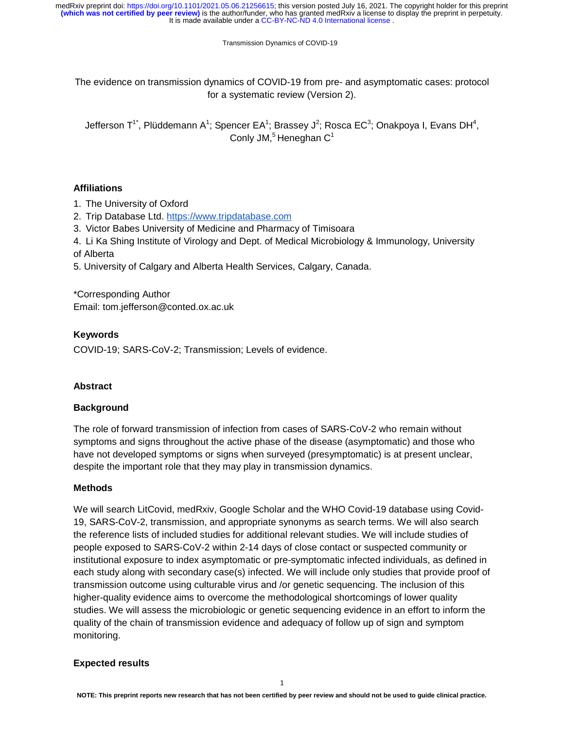Transmission Dynamics of COVID-19

The evidence on transmission dynamics of COVID-19 from pre- and asymptomatic cases: protocol for a systematic review (Version 2).

Jefferson T<sup>1\*</sup>, Plüddemann A<sup>1</sup>; Spencer EA<sup>1</sup>; Brassey J<sup>2</sup>; Rosca EC<sup>3</sup>; Onakpoya I, Evans DH<sup>4</sup>, Conly JM, $<sup>5</sup>$  Heneghan  $C<sup>1</sup>$ </sup>

# **Affiliations**

1. The University of Oxford

- 2. Trip Database Ltd. https://www.tripdatabase.com
- 3. Victor Babes University of Medicine and Pharmacy of Timisoara

4. Li Ka Shing Institute of Virology and Dept. of Medical Microbiology & Immunology, University of Alberta

5. University of Calgary and Alberta Health Services, Calgary, Canada.

\*Corresponding Author Email: tom.jefferson@conted.ox.ac.uk

# **Keywords**

COVID-19; SARS-CoV-2; Transmission; Levels of evidence.

# **Abstract**

## **Background**

The role of forward transmission of infection from cases of SARS-CoV-2 who remain without symptoms and signs throughout the active phase of the disease (asymptomatic) and those who have not developed symptoms or signs when surveyed (presymptomatic) is at present unclear, despite the important role that they may play in transmission dynamics.

## **Methods**

We will search LitCovid, medRxiv, Google Scholar and the WHO Covid-19 database using Covid-19, SARS-CoV-2, transmission, and appropriate synonyms as search terms. We will also search the reference lists of included studies for additional relevant studies. We will include studies of people exposed to SARS-CoV-2 within 2-14 days of close contact or suspected community or institutional exposure to index asymptomatic or pre-symptomatic infected individuals, as defined in each study along with secondary case(s) infected. We will include only studies that provide proof of transmission outcome using culturable virus and /or genetic sequencing. The inclusion of this higher-quality evidence aims to overcome the methodological shortcomings of lower quality studies. We will assess the microbiologic or genetic sequencing evidence in an effort to inform the quality of the chain of transmission evidence and adequacy of follow up of sign and symptom monitoring.

## **Expected results**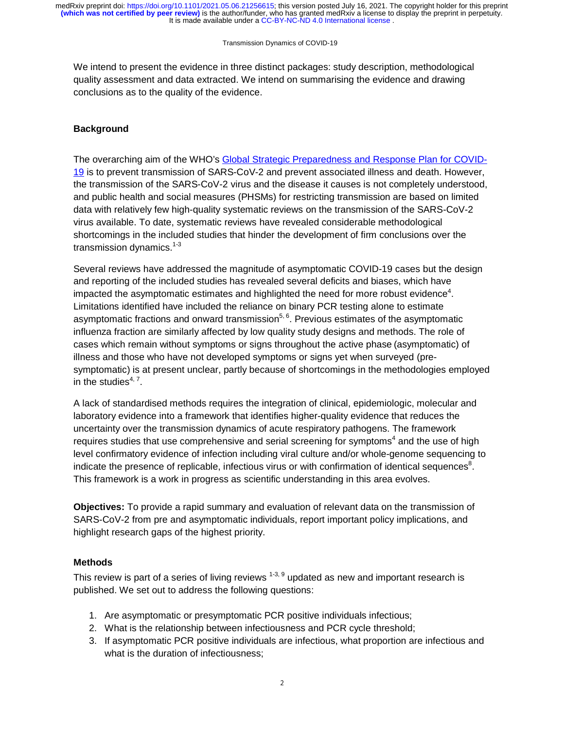#### Transmission Dynamics of COVID-19

We intend to present the evidence in three distinct packages: study description, methodological quality assessment and data extracted. We intend on summarising the evidence and drawing conclusions as to the quality of the evidence.

# **Background**

The overarching aim of the WHO's Global Strategic Preparedness and Response Plan for COVID-19 is to prevent transmission of SARS-CoV-2 and prevent associated illness and death. However, the transmission of the SARS-CoV-2 virus and the disease it causes is not completely understood, and public health and social measures (PHSMs) for restricting transmission are based on limited data with relatively few high-quality systematic reviews on the transmission of the SARS-CoV-2 virus available. To date, systematic reviews have revealed considerable methodological shortcomings in the included studies that hinder the development of firm conclusions over the transmission dynamics.<sup>1-3</sup>

Several reviews have addressed the magnitude of asymptomatic COVID-19 cases but the design and reporting of the included studies has revealed several deficits and biases, which have impacted the asymptomatic estimates and highlighted the need for more robust evidence<sup>4</sup>. Limitations identified have included the reliance on binary PCR testing alone to estimate asymptomatic fractions and onward transmission<sup>5, 6</sup>. Previous estimates of the asymptomatic influenza fraction are similarly affected by low quality study designs and methods. The role of cases which remain without symptoms or signs throughout the active phase (asymptomatic) of illness and those who have not developed symptoms or signs yet when surveyed (presymptomatic) is at present unclear, partly because of shortcomings in the methodologies employed in the studies $4, 7$ .

A lack of standardised methods requires the integration of clinical, epidemiologic, molecular and laboratory evidence into a framework that identifies higher-quality evidence that reduces the uncertainty over the transmission dynamics of acute respiratory pathogens. The framework requires studies that use comprehensive and serial screening for symptoms<sup>4</sup> and the use of high level confirmatory evidence of infection including viral culture and/or whole-genome sequencing to indicate the presence of replicable, infectious virus or with confirmation of identical sequences<sup>8</sup>. This framework is a work in progress as scientific understanding in this area evolves.

**Objectives:** To provide a rapid summary and evaluation of relevant data on the transmission of SARS-CoV-2 from pre and asymptomatic individuals, report important policy implications, and highlight research gaps of the highest priority.

## **Methods**

This review is part of a series of living reviews  $1-3$ ,  $9$  updated as new and important research is published. We set out to address the following questions:

- 1. Are asymptomatic or presymptomatic PCR positive individuals infectious;
- 2. What is the relationship between infectiousness and PCR cycle threshold;
- 3. If asymptomatic PCR positive individuals are infectious, what proportion are infectious and what is the duration of infectiousness;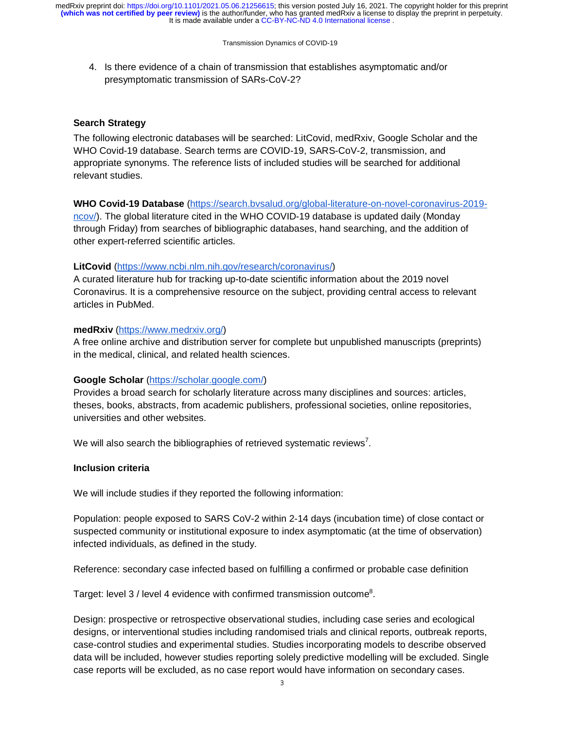Transmission Dynamics of COVID-19

4. Is there evidence of a chain of transmission that establishes asymptomatic and/or presymptomatic transmission of SARs-CoV-2?

# **Search Strategy**

The following electronic databases will be searched: LitCovid, medRxiv, Google Scholar and the WHO Covid-19 database. Search terms are COVID-19, SARS-CoV-2, transmission, and appropriate synonyms. The reference lists of included studies will be searched for additional relevant studies.

# **WHO Covid-19 Database** (https://search.bvsalud.org/global-literature-on-novel-coronavirus-2019-

ncov/). The global literature cited in the WHO COVID-19 database is updated daily (Monday through Friday) from searches of bibliographic databases, hand searching, and the addition of other expert-referred scientific articles.

# **LitCovid** (https://www.ncbi.nlm.nih.gov/research/coronavirus/)

A curated literature hub for tracking up-to-date scientific information about the 2019 novel Coronavirus. It is a comprehensive resource on the subject, providing central access to relevant articles in PubMed.

## **medRxiv** (https://www.medrxiv.org/)

A free online archive and distribution server for complete but unpublished manuscripts (preprints) in the medical, clinical, and related health sciences.

## **Google Scholar** (https://scholar.google.com/)

Provides a broad search for scholarly literature across many disciplines and sources: articles, theses, books, abstracts, from academic publishers, professional societies, online repositories, universities and other websites.

We will also search the bibliographies of retrieved systematic reviews<sup>7</sup>.

## **Inclusion criteria**

We will include studies if they reported the following information:

Population: people exposed to SARS CoV-2 within 2-14 days (incubation time) of close contact or suspected community or institutional exposure to index asymptomatic (at the time of observation) infected individuals, as defined in the study.

Reference: secondary case infected based on fulfilling a confirmed or probable case definition

Target: level 3 / level 4 evidence with confirmed transmission outcome<sup>8</sup>.

Design: prospective or retrospective observational studies, including case series and ecological designs, or interventional studies including randomised trials and clinical reports, outbreak reports, case-control studies and experimental studies. Studies incorporating models to describe observed data will be included, however studies reporting solely predictive modelling will be excluded. Single case reports will be excluded, as no case report would have information on secondary cases.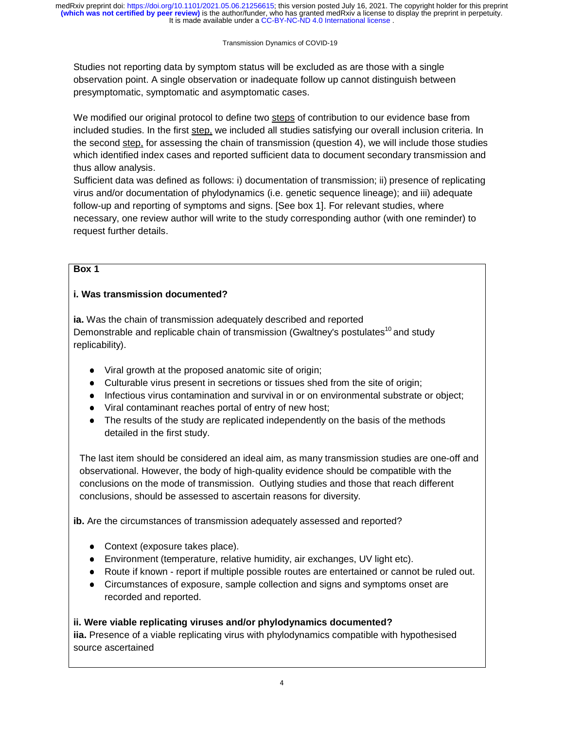#### Transmission Dynamics of COVID-19

Studies not reporting data by symptom status will be excluded as are those with a single observation point. A single observation or inadequate follow up cannot distinguish between presymptomatic, symptomatic and asymptomatic cases.

We modified our original protocol to define two steps of contribution to our evidence base from included studies. In the first step, we included all studies satisfying our overall inclusion criteria. In the second step, for assessing the chain of transmission (question 4), we will include those studies which identified index cases and reported sufficient data to document secondary transmission and thus allow analysis.

Sufficient data was defined as follows: i) documentation of transmission; ii) presence of replicating virus and/or documentation of phylodynamics (i.e. genetic sequence lineage); and iii) adequate follow-up and reporting of symptoms and signs. [See box 1]. For relevant studies, where necessary, one review author will write to the study corresponding author (with one reminder) to request further details.

# **Box 1**

# **i. Was transmission documented?**

**ia.** Was the chain of transmission adequately described and reported Demonstrable and replicable chain of transmission (Gwaltney's postulates<sup>10</sup> and study replicability).

- Viral growth at the proposed anatomic site of origin;<br>● Culturable virus present in secretions or tissues she
- Culturable virus present in secretions or tissues shed from the site of origin;
- Infectious virus contamination and survival in or on environmental substrate or object;
- Viral contaminant reaches portal of entry of new host;
- The results of the study are replicated independently on the basis of the methods detailed in the first study.

The last item should be considered an ideal aim, as many transmission studies are one-off and observational. However, the body of high-quality evidence should be compatible with the conclusions on the mode of transmission. Outlying studies and those that reach different conclusions, should be assessed to ascertain reasons for diversity.

**ib.** Are the circumstances of transmission adequately assessed and reported?

- Context (exposure takes place).
- Environment (temperature, relative humidity, air exchanges, UV light etc).
- Route if known report if multiple possible routes are entertained or cannot be ruled out.<br>● Circumstances of exposure, sample collection and signs and symptoms onset are
- Circumstances of exposure, sample collection and signs and symptoms onset are recorded and reported.

# **ii. Were viable replicating viruses and/or phylodynamics documented?**

**iia.** Presence of a viable replicating virus with phylodynamics compatible with hypothesised source ascertained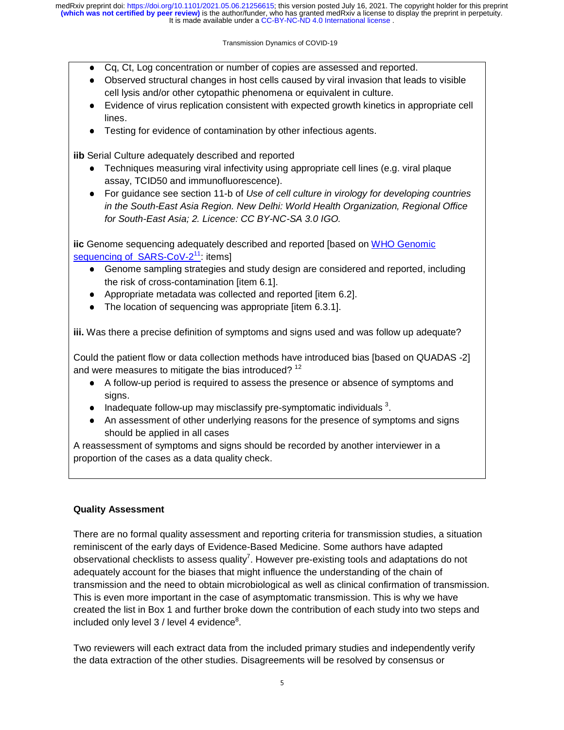#### Transmission Dynamics of COVID-19

- Cq, Ct, Log concentration or number of copies are assessed and reported.
- Observed structural changes in host cells caused by viral invasion that leads to visible cell lysis and/or other cytopathic phenomena or equivalent in culture.
- Evidence of virus replication consistent with expected growth kinetics in appropriate cell lines.
- Testing for evidence of contamination by other infectious agents.

**iib** Serial Culture adequately described and reported

- Techniques measuring viral infectivity using appropriate cell lines (e.g. viral plaque assay, TCID50 and immunofluorescence).
- For guidance see section 11-b of *Use of cell culture in virology for developing countries in the South-East Asia Region. New Delhi: World Health Organization, Regional Office for South-East Asia; 2. Licence: CC BY-NC-SA 3.0 IGO.*

**iic** Genome sequencing adequately described and reported [based on WHO Genomic sequencing of  $SARS-CoV-2<sup>11</sup>$ : items]

- Genome sampling strategies and study design are considered and reported, including the risk of cross-contamination [item 6.1].
- Appropriate metadata was collected and reported [item 6.2].<br>• The location of sequencing was appropriate [item 6.3.1]
- The location of sequencing was appropriate [item 6.3.1].

**iii.** Was there a precise definition of symptoms and signs used and was follow up adequate?

Could the patient flow or data collection methods have introduced bias [based on QUADAS -2] and were measures to mitigate the bias introduced?<sup>12</sup>

- A follow-up period is required to assess the presence or absence of symptoms and signs.
- Inadequate follow-up may misclassify pre-symptomatic individuals  $3$ .<br>■ An assessment of other underlying reasons for the presence of symp
- An assessment of other underlying reasons for the presence of symptoms and signs should be applied in all cases

A reassessment of symptoms and signs should be recorded by another interviewer in a proportion of the cases as a data quality check.

# **Quality Assessment**

There are no formal quality assessment and reporting criteria for transmission studies, a situation reminiscent of the early days of Evidence-Based Medicine. Some authors have adapted observational checklists to assess quality<sup>7</sup>. However pre-existing tools and adaptations do not adequately account for the biases that might influence the understanding of the chain of transmission and the need to obtain microbiological as well as clinical confirmation of transmission. This is even more important in the case of asymptomatic transmission. This is why we have created the list in Box 1 and further broke down the contribution of each study into two steps and included only level  $3$  / level 4 evidence $8$ .

Two reviewers will each extract data from the included primary studies and independently verify the data extraction of the other studies. Disagreements will be resolved by consensus or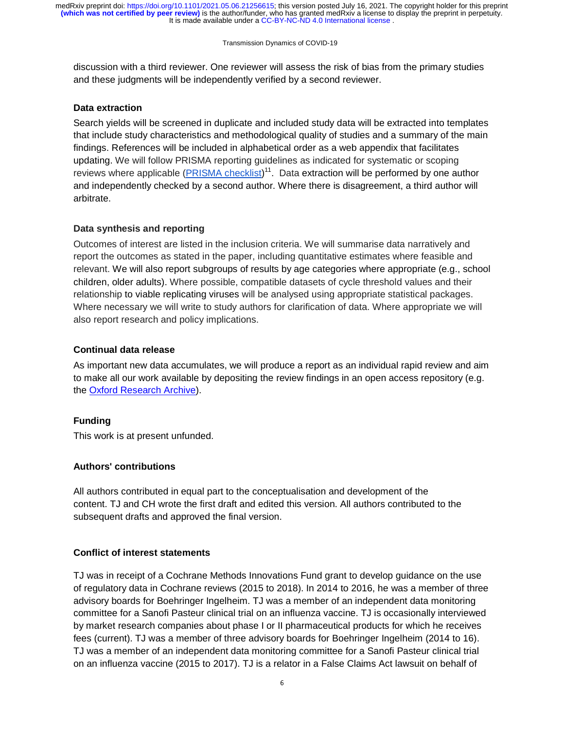#### Transmission Dynamics of COVID-19

discussion with a third reviewer. One reviewer will assess the risk of bias from the primary studies and these judgments will be independently verified by a second reviewer.

## **Data extraction**

Search yields will be screened in duplicate and included study data will be extracted into templates that include study characteristics and methodological quality of studies and a summary of the main findings. References will be included in alphabetical order as a web appendix that facilitates updating. We will follow PRISMA reporting guidelines as indicated for systematic or scoping reviews where applicable (**PRISMA checklist**)<sup>11</sup>. Data extraction will be performed by one author and independently checked by a second author. Where there is disagreement, a third author will arbitrate.

# **Data synthesis and reporting**

Outcomes of interest are listed in the inclusion criteria. We will summarise data narratively and report the outcomes as stated in the paper, including quantitative estimates where feasible and relevant. We will also report subgroups of results by age categories where appropriate (e.g., school children, older adults). Where possible, compatible datasets of cycle threshold values and their relationship to viable replicating viruses will be analysed using appropriate statistical packages. Where necessary we will write to study authors for clarification of data. Where appropriate we will also report research and policy implications.

# **Continual data release**

As important new data accumulates, we will produce a report as an individual rapid review and aim to make all our work available by depositing the review findings in an open access repository (e.g. the **Oxford Research Archive**).

# **Funding**

This work is at present unfunded.

# **Authors' contributions**

All authors contributed in equal part to the conceptualisation and development of the content. TJ and CH wrote the first draft and edited this version. All authors contributed to the subsequent drafts and approved the final version.

## **Conflict of interest statements**

TJ was in receipt of a Cochrane Methods Innovations Fund grant to develop guidance on the use of regulatory data in Cochrane reviews (2015 to 2018). In 2014 to 2016, he was a member of three advisory boards for Boehringer Ingelheim. TJ was a member of an independent data monitoring committee for a Sanofi Pasteur clinical trial on an influenza vaccine. TJ is occasionally interviewed by market research companies about phase I or II pharmaceutical products for which he receives fees (current). TJ was a member of three advisory boards for Boehringer Ingelheim (2014 to 16). TJ was a member of an independent data monitoring committee for a Sanofi Pasteur clinical trial on an influenza vaccine (2015 to 2017). TJ is a relator in a False Claims Act lawsuit on behalf of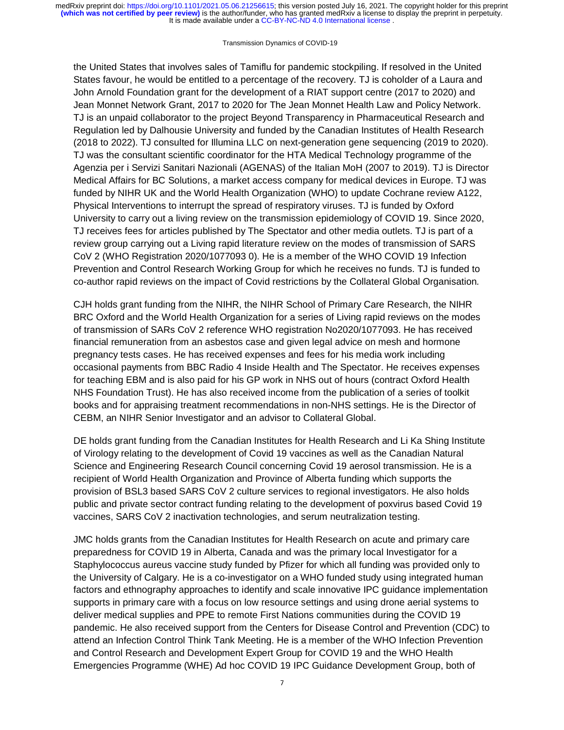#### Transmission Dynamics of COVID-19

the United States that involves sales of Tamiflu for pandemic stockpiling. If resolved in the United States favour, he would be entitled to a percentage of the recovery. TJ is coholder of a Laura and John Arnold Foundation grant for the development of a RIAT support centre (2017 to 2020) and Jean Monnet Network Grant, 2017 to 2020 for The Jean Monnet Health Law and Policy Network. TJ is an unpaid collaborator to the project Beyond Transparency in Pharmaceutical Research and Regulation led by Dalhousie University and funded by the Canadian Institutes of Health Research (2018 to 2022). TJ consulted for Illumina LLC on next-generation gene sequencing (2019 to 2020). TJ was the consultant scientific coordinator for the HTA Medical Technology programme of the Agenzia per i Servizi Sanitari Nazionali (AGENAS) of the Italian MoH (2007 to 2019). TJ is Director Medical Affairs for BC Solutions, a market access company for medical devices in Europe. TJ was funded by NIHR UK and the World Health Organization (WHO) to update Cochrane review A122, Physical Interventions to interrupt the spread of respiratory viruses. TJ is funded by Oxford University to carry out a living review on the transmission epidemiology of COVID 19. Since 2020, TJ receives fees for articles published by The Spectator and other media outlets. TJ is part of a review group carrying out a Living rapid literature review on the modes of transmission of SARS CoV 2 (WHO Registration 2020/1077093 0). He is a member of the WHO COVID 19 Infection Prevention and Control Research Working Group for which he receives no funds. TJ is funded to co-author rapid reviews on the impact of Covid restrictions by the Collateral Global Organisation*.*

CJH holds grant funding from the NIHR, the NIHR School of Primary Care Research, the NIHR BRC Oxford and the World Health Organization for a series of Living rapid reviews on the modes of transmission of SARs CoV 2 reference WHO registration No2020/1077093. He has received financial remuneration from an asbestos case and given legal advice on mesh and hormone pregnancy tests cases. He has received expenses and fees for his media work including occasional payments from BBC Radio 4 Inside Health and The Spectator. He receives expenses for teaching EBM and is also paid for his GP work in NHS out of hours (contract Oxford Health NHS Foundation Trust). He has also received income from the publication of a series of toolkit books and for appraising treatment recommendations in non-NHS settings. He is the Director of CEBM, an NIHR Senior Investigator and an advisor to Collateral Global.

DE holds grant funding from the Canadian Institutes for Health Research and Li Ka Shing Institute of Virology relating to the development of Covid 19 vaccines as well as the Canadian Natural Science and Engineering Research Council concerning Covid 19 aerosol transmission. He is a recipient of World Health Organization and Province of Alberta funding which supports the provision of BSL3 based SARS CoV 2 culture services to regional investigators. He also holds public and private sector contract funding relating to the development of poxvirus based Covid 19 vaccines, SARS CoV 2 inactivation technologies, and serum neutralization testing.

JMC holds grants from the Canadian Institutes for Health Research on acute and primary care preparedness for COVID 19 in Alberta, Canada and was the primary local Investigator for a Staphylococcus aureus vaccine study funded by Pfizer for which all funding was provided only to the University of Calgary. He is a co-investigator on a WHO funded study using integrated human factors and ethnography approaches to identify and scale innovative IPC guidance implementation supports in primary care with a focus on low resource settings and using drone aerial systems to deliver medical supplies and PPE to remote First Nations communities during the COVID 19 pandemic. He also received support from the Centers for Disease Control and Prevention (CDC) to attend an Infection Control Think Tank Meeting. He is a member of the WHO Infection Prevention and Control Research and Development Expert Group for COVID 19 and the WHO Health Emergencies Programme (WHE) Ad hoc COVID 19 IPC Guidance Development Group, both of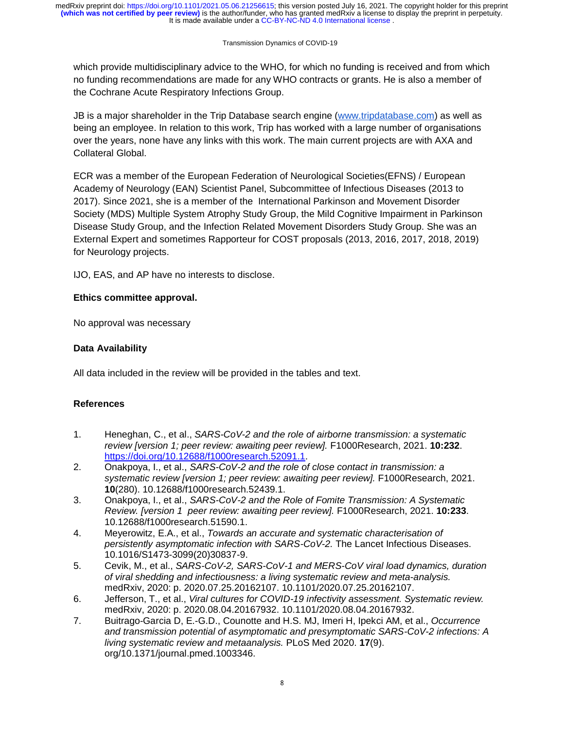It is made available under a [CC-BY-NC-ND 4.0 International license](http://creativecommons.org/licenses/by-nc-nd/4.0/) . **(which was not certified by peer review)** is the author/funder, who has granted medRxiv a license to display the preprint in perpetuity. medRxiv preprint doi: [https://doi.org/10.1101/2021.05.06.21256615;](https://doi.org/10.1101/2021.05.06.21256615) this version posted July 16, 2021. The copyright holder for this preprint

#### Transmission Dynamics of COVID-19

which provide multidisciplinary advice to the WHO, for which no funding is received and from which no funding recommendations are made for any WHO contracts or grants. He is also a member of the Cochrane Acute Respiratory Infections Group.

JB is a major shareholder in the Trip Database search engine (www.tripdatabase.com) as well as being an employee. In relation to this work, Trip has worked with a large number of organisations over the years, none have any links with this work. The main current projects are with AXA and Collateral Global.

ECR was a member of the European Federation of Neurological Societies(EFNS) / European Academy of Neurology (EAN) Scientist Panel, Subcommittee of Infectious Diseases (2013 to 2017). Since 2021, she is a member of the International Parkinson and Movement Disorder Society (MDS) Multiple System Atrophy Study Group, the Mild Cognitive Impairment in Parkinson Disease Study Group, and the Infection Related Movement Disorders Study Group. She was an External Expert and sometimes Rapporteur for COST proposals (2013, 2016, 2017, 2018, 2019) for Neurology projects.

IJO, EAS, and AP have no interests to disclose.

# **Ethics committee approval.**

No approval was necessary

# **Data Availability**

All data included in the review will be provided in the tables and text.

## **References**

- 1. Heneghan, C., et al., *SARS-CoV-2 and the role of airborne transmission: a systematic review [version 1; peer review: awaiting peer review].* F1000Research, 2021. **10:232**. https://doi.org/10.12688/f1000research.52091.1.
- 2. Onakpoya, I., et al., *SARS-CoV-2 and the role of close contact in transmission: a systematic review [version 1; peer review: awaiting peer review].* F1000Research, 2021. **10**(280). 10.12688/f1000research.52439.1.
- 3. Onakpoya, I., et al., *SARS-CoV-2 and the Role of Fomite Transmission: A Systematic Review. [version 1 peer review: awaiting peer review].* F1000Research, 2021. **10:233**. 10.12688/f1000research.51590.1.
- 4. Meyerowitz, E.A., et al., *Towards an accurate and systematic characterisation of persistently asymptomatic infection with SARS-CoV-2.* The Lancet Infectious Diseases. 10.1016/S1473-3099(20)30837-9.
- 5. Cevik, M., et al., *SARS-CoV-2, SARS-CoV-1 and MERS-CoV viral load dynamics, duration of viral shedding and infectiousness: a living systematic review and meta-analysis.* medRxiv, 2020: p. 2020.07.25.20162107. 10.1101/2020.07.25.20162107.
- 6. Jefferson, T., et al., *Viral cultures for COVID-19 infectivity assessment. Systematic review.* medRxiv, 2020: p. 2020.08.04.20167932. 10.1101/2020.08.04.20167932.
- 7. Buitrago-Garcia D, E.-G.D., Counotte and H.S. MJ, Imeri H, Ipekci AM, et al., *Occurrence and transmission potential of asymptomatic and presymptomatic SARS-CoV-2 infections: A living systematic review and metaanalysis.* PLoS Med 2020. **17**(9). org/10.1371/journal.pmed.1003346.